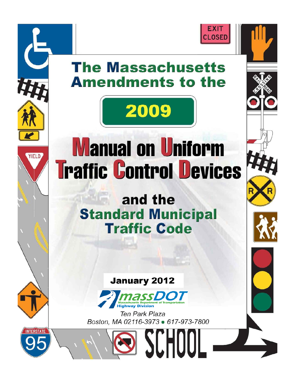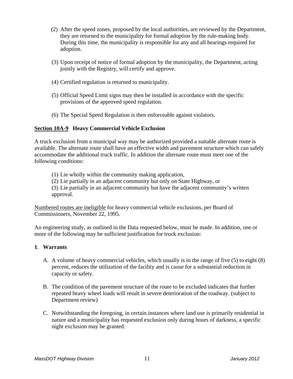- (2) After the speed zones, proposed by the local authorities, are reviewed by the Department, they are returned to the municipality for formal adoption by the rule-making body. During this time, the municipality is responsible for any and all hearings required for adoption.
- (3) Upon receipt of notice of formal adoption by the municipality, the Department, acting jointly with the Registry, will certify and approve.
- (4) Certified regulation is returned to municipality.
- (5) Official Speed Limit signs may then be installed in accordance with the specific provisions of the approved speed regulation.
- (6) The Special Speed Regulation is then enforceable against violators.

## **Section 10A-9 Heavy Commercial Vehicle Exclusion**

A truck exclusion from a municipal way may be authorized provided a suitable alternate route is available. The alternate route shall have an effective width and pavement structure which can safely accommodate the additional truck traffic. In addition the alternate route must meet one of the following conditions:

(1) Lie wholly within the community making application,

(2) Lie partially in an adjacent community but only on State Highway, or

(3) Lie partially in an adjacent community but have the adjacent community's written approval.

Numbered routes are ineligible for heavy commercial vehicle exclusions, per Board of Commissioners, November 22, 1995.

An engineering study, as outlined in the Data requested below, must be made. In addition, one or more of the following may be sufficient justification for truck exclusion:

## **1**. **Warrants**

- A. A volume of heavy commercial vehicles, which usually is in the range of five (5) to eight (8) percent, reduces the utilization of the facility and is cause for a substantial reduction in capacity or safety.
- B. The condition of the pavement structure of the route to be excluded indicates that further repeated heavy wheel loads will result in severe deterioration of the roadway. (subject to Department review)
- C. Notwithstanding the foregoing, in certain instances where land use is primarily residential in nature and a municipality has requested exclusion only during hours of darkness, a specific night exclusion may be granted.